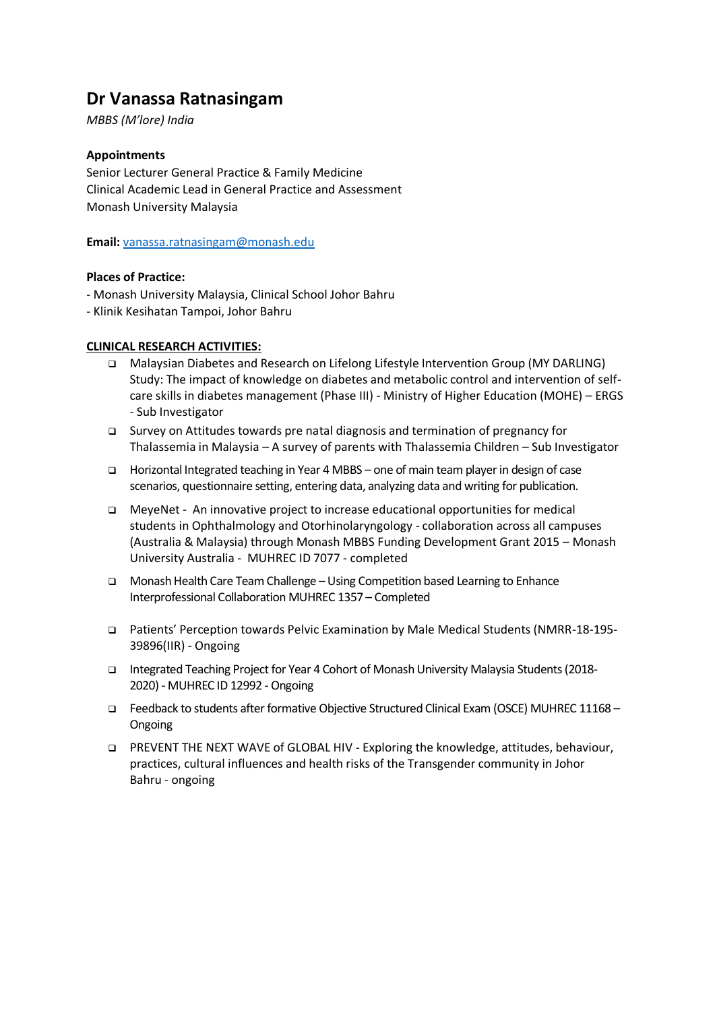# **Dr Vanassa Ratnasingam**

*MBBS (M'lore) India*

# **Appointments**

Senior Lecturer General Practice & Family Medicine Clinical Academic Lead in General Practice and Assessment Monash University Malaysia

**Email:** [vanassa.ratnasingam@monash.edu](mailto:vanassa.ratnasingam@monash.edu)

# **Places of Practice:**

- Monash University Malaysia, Clinical School Johor Bahru
- Klinik Kesihatan Tampoi, Johor Bahru

# **CLINICAL RESEARCH ACTIVITIES:**

- Malaysian Diabetes and Research on Lifelong Lifestyle Intervention Group (MY DARLING) Study: The impact of knowledge on diabetes and metabolic control and intervention of selfcare skills in diabetes management (Phase III) - Ministry of Higher Education (MOHE) – ERGS - Sub Investigator
- Survey on Attitudes towards pre natal diagnosis and termination of pregnancy for Thalassemia in Malaysia – A survey of parents with Thalassemia Children – Sub Investigator
- Horizontal Integrated teaching in Year 4 MBBS one of main team player in design of case scenarios, questionnaire setting, entering data, analyzing data and writing for publication.
- MeyeNet An innovative project to increase educational opportunities for medical students in Ophthalmology and Otorhinolaryngology - collaboration across all campuses (Australia & Malaysia) through Monash MBBS Funding Development Grant 2015 – Monash University Australia - MUHREC ID 7077 - completed
- Monash Health Care Team Challenge –Using Competition based Learning to Enhance Interprofessional Collaboration MUHREC 1357 – Completed
- Patients' Perception towards Pelvic Examination by Male Medical Students (NMRR-18-195- 39896(IIR) - Ongoing
- Integrated Teaching Project for Year 4 Cohort of Monash University Malaysia Students (2018- 2020) - MUHREC ID 12992 - Ongoing
- Feedback to students after formative Objective Structured Clinical Exam (OSCE) MUHREC 11168 Ongoing
- PREVENT THE NEXT WAVE of GLOBAL HIV Exploring the knowledge, attitudes, behaviour, practices, cultural influences and health risks of the Transgender community in Johor Bahru - ongoing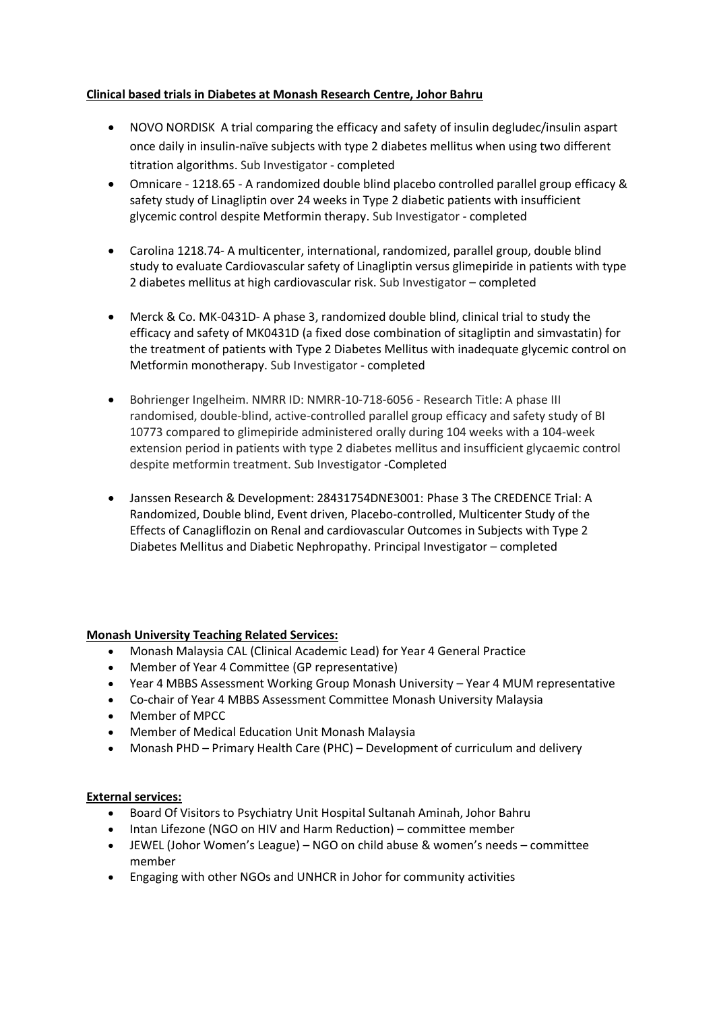# **Clinical based trials in Diabetes at Monash Research Centre, Johor Bahru**

- NOVO NORDISK A trial comparing the efficacy and safety of insulin degludec/insulin aspart once daily in insulin-naïve subjects with type 2 diabetes mellitus when using two different titration algorithms. Sub Investigator - completed
- Omnicare 1218.65 A randomized double blind placebo controlled parallel group efficacy & safety study of Linagliptin over 24 weeks in Type 2 diabetic patients with insufficient glycemic control despite Metformin therapy. Sub Investigator - completed
- Carolina 1218.74- A multicenter, international, randomized, parallel group, double blind study to evaluate Cardiovascular safety of Linagliptin versus glimepiride in patients with type 2 diabetes mellitus at high cardiovascular risk. Sub Investigator – completed
- Merck & Co. MK-0431D- A phase 3, randomized double blind, clinical trial to study the efficacy and safety of MK0431D (a fixed dose combination of sitagliptin and simvastatin) for the treatment of patients with Type 2 Diabetes Mellitus with inadequate glycemic control on Metformin monotherapy. Sub Investigator - completed
- Bohrienger Ingelheim. NMRR ID: NMRR-10-718-6056 Research Title: A phase III randomised, double-blind, active-controlled parallel group efficacy and safety study of BI 10773 compared to glimepiride administered orally during 104 weeks with a 104-week extension period in patients with type 2 diabetes mellitus and insufficient glycaemic control despite metformin treatment. Sub Investigator -Completed
- Janssen Research & Development: 28431754DNE3001: Phase 3 The CREDENCE Trial: A Randomized, Double blind, Event driven, Placebo-controlled, Multicenter Study of the Effects of Canagliflozin on Renal and cardiovascular Outcomes in Subjects with Type 2 Diabetes Mellitus and Diabetic Nephropathy. Principal Investigator – completed

#### **Monash University Teaching Related Services:**

- Monash Malaysia CAL (Clinical Academic Lead) for Year 4 General Practice
- Member of Year 4 Committee (GP representative)
- Year 4 MBBS Assessment Working Group Monash University Year 4 MUM representative
- Co-chair of Year 4 MBBS Assessment Committee Monash University Malaysia
- Member of MPCC
- Member of Medical Education Unit Monash Malaysia
- Monash PHD Primary Health Care (PHC) Development of curriculum and delivery

# **External services:**

- Board Of Visitors to Psychiatry Unit Hospital Sultanah Aminah, Johor Bahru
- Intan Lifezone (NGO on HIV and Harm Reduction) committee member
- JEWEL (Johor Women's League) NGO on child abuse & women's needs committee member
- Engaging with other NGOs and UNHCR in Johor for community activities